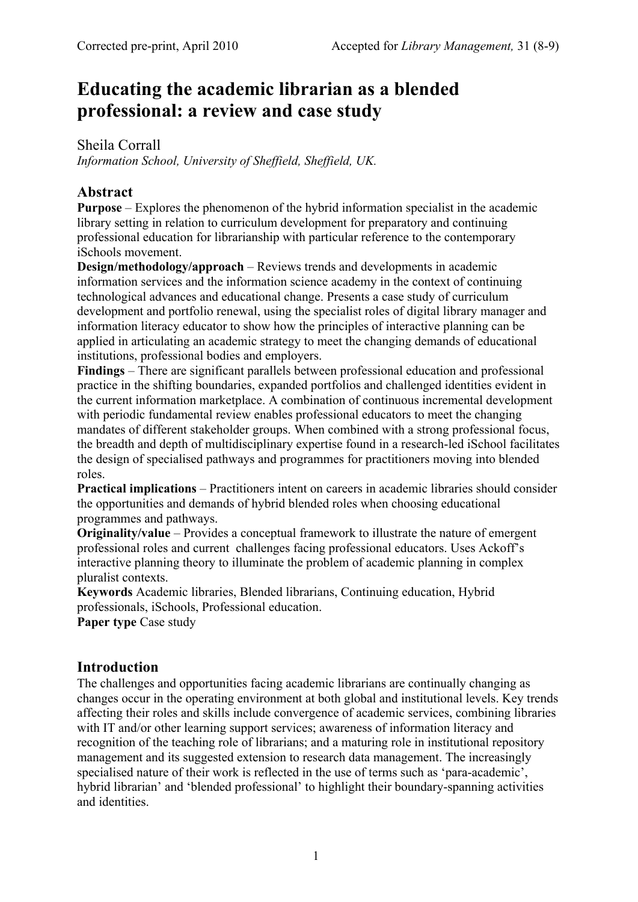# **Educating the academic librarian as a blended professional: a review and case study**

Sheila Corrall *Information School, University of Sheffield, Sheffield, UK.*

# **Abstract**

**Purpose** – Explores the phenomenon of the hybrid information specialist in the academic library setting in relation to curriculum development for preparatory and continuing professional education for librarianship with particular reference to the contemporary iSchools movement.

**Design/methodology/approach** *–* Reviews trends and developments in academic information services and the information science academy in the context of continuing technological advances and educational change. Presents a case study of curriculum development and portfolio renewal, using the specialist roles of digital library manager and information literacy educator to show how the principles of interactive planning can be applied in articulating an academic strategy to meet the changing demands of educational institutions, professional bodies and employers.

**Findings** – There are significant parallels between professional education and professional practice in the shifting boundaries, expanded portfolios and challenged identities evident in the current information marketplace. A combination of continuous incremental development with periodic fundamental review enables professional educators to meet the changing mandates of different stakeholder groups. When combined with a strong professional focus, the breadth and depth of multidisciplinary expertise found in a research-led iSchool facilitates the design of specialised pathways and programmes for practitioners moving into blended roles.

**Practical implications** – Practitioners intent on careers in academic libraries should consider the opportunities and demands of hybrid blended roles when choosing educational programmes and pathways.

**Originality/value** – Provides a conceptual framework to illustrate the nature of emergent professional roles and current challenges facing professional educators. Uses Ackoff's interactive planning theory to illuminate the problem of academic planning in complex pluralist contexts.

**Keywords** Academic libraries, Blended librarians, Continuing education, Hybrid professionals, iSchools, Professional education.

**Paper type Case study** 

# **Introduction**

The challenges and opportunities facing academic librarians are continually changing as changes occur in the operating environment at both global and institutional levels. Key trends affecting their roles and skills include convergence of academic services, combining libraries with IT and/or other learning support services; awareness of information literacy and recognition of the teaching role of librarians; and a maturing role in institutional repository management and its suggested extension to research data management. The increasingly specialised nature of their work is reflected in the use of terms such as 'para-academic', hybrid librarian' and 'blended professional' to highlight their boundary-spanning activities and identities.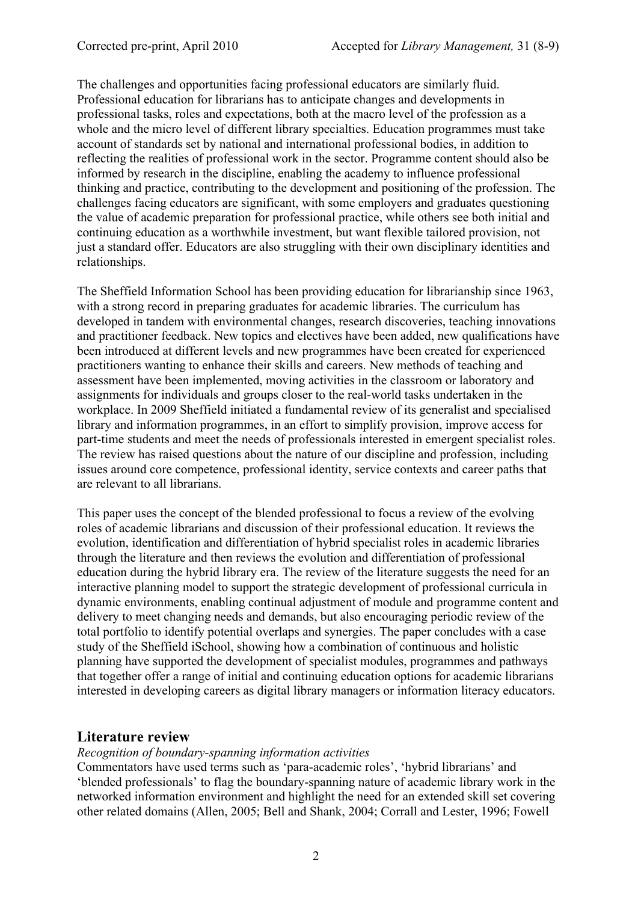The challenges and opportunities facing professional educators are similarly fluid. Professional education for librarians has to anticipate changes and developments in professional tasks, roles and expectations, both at the macro level of the profession as a whole and the micro level of different library specialties. Education programmes must take account of standards set by national and international professional bodies, in addition to reflecting the realities of professional work in the sector. Programme content should also be informed by research in the discipline, enabling the academy to influence professional thinking and practice, contributing to the development and positioning of the profession. The challenges facing educators are significant, with some employers and graduates questioning the value of academic preparation for professional practice, while others see both initial and continuing education as a worthwhile investment, but want flexible tailored provision, not just a standard offer. Educators are also struggling with their own disciplinary identities and relationships.

The Sheffield Information School has been providing education for librarianship since 1963, with a strong record in preparing graduates for academic libraries. The curriculum has developed in tandem with environmental changes, research discoveries, teaching innovations and practitioner feedback. New topics and electives have been added, new qualifications have been introduced at different levels and new programmes have been created for experienced practitioners wanting to enhance their skills and careers. New methods of teaching and assessment have been implemented, moving activities in the classroom or laboratory and assignments for individuals and groups closer to the real-world tasks undertaken in the workplace. In 2009 Sheffield initiated a fundamental review of its generalist and specialised library and information programmes, in an effort to simplify provision, improve access for part-time students and meet the needs of professionals interested in emergent specialist roles. The review has raised questions about the nature of our discipline and profession, including issues around core competence, professional identity, service contexts and career paths that are relevant to all librarians.

This paper uses the concept of the blended professional to focus a review of the evolving roles of academic librarians and discussion of their professional education. It reviews the evolution, identification and differentiation of hybrid specialist roles in academic libraries through the literature and then reviews the evolution and differentiation of professional education during the hybrid library era. The review of the literature suggests the need for an interactive planning model to support the strategic development of professional curricula in dynamic environments, enabling continual adjustment of module and programme content and delivery to meet changing needs and demands, but also encouraging periodic review of the total portfolio to identify potential overlaps and synergies. The paper concludes with a case study of the Sheffield iSchool, showing how a combination of continuous and holistic planning have supported the development of specialist modules, programmes and pathways that together offer a range of initial and continuing education options for academic librarians interested in developing careers as digital library managers or information literacy educators.

### **Literature review**

### *Recognition of boundary-spanning information activities*

Commentators have used terms such as 'para-academic roles', 'hybrid librarians' and 'blended professionals' to flag the boundary-spanning nature of academic library work in the networked information environment and highlight the need for an extended skill set covering other related domains (Allen, 2005; Bell and Shank, 2004; Corrall and Lester, 1996; Fowell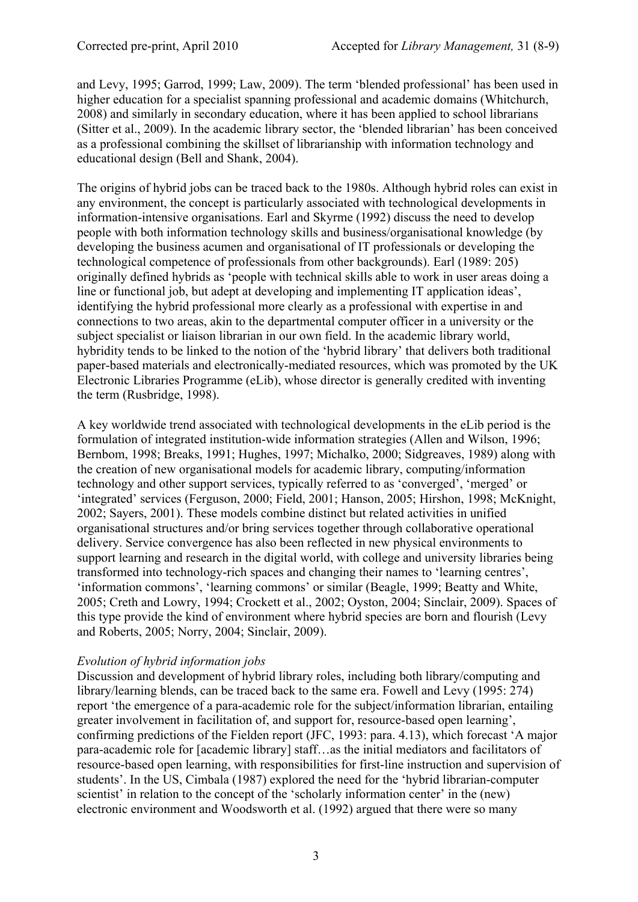and Levy, 1995; Garrod, 1999; Law, 2009). The term 'blended professional' has been used in higher education for a specialist spanning professional and academic domains (Whitchurch, 2008) and similarly in secondary education, where it has been applied to school librarians (Sitter et al., 2009). In the academic library sector, the 'blended librarian' has been conceived as a professional combining the skillset of librarianship with information technology and educational design (Bell and Shank, 2004).

The origins of hybrid jobs can be traced back to the 1980s. Although hybrid roles can exist in any environment, the concept is particularly associated with technological developments in information-intensive organisations. Earl and Skyrme (1992) discuss the need to develop people with both information technology skills and business/organisational knowledge (by developing the business acumen and organisational of IT professionals or developing the technological competence of professionals from other backgrounds). Earl (1989: 205) originally defined hybrids as 'people with technical skills able to work in user areas doing a line or functional job, but adept at developing and implementing IT application ideas', identifying the hybrid professional more clearly as a professional with expertise in and connections to two areas, akin to the departmental computer officer in a university or the subject specialist or liaison librarian in our own field. In the academic library world, hybridity tends to be linked to the notion of the 'hybrid library' that delivers both traditional paper-based materials and electronically-mediated resources, which was promoted by the UK Electronic Libraries Programme (eLib), whose director is generally credited with inventing the term (Rusbridge, 1998).

A key worldwide trend associated with technological developments in the eLib period is the formulation of integrated institution-wide information strategies (Allen and Wilson, 1996; Bernbom, 1998; Breaks, 1991; Hughes, 1997; Michalko, 2000; Sidgreaves, 1989) along with the creation of new organisational models for academic library, computing/information technology and other support services, typically referred to as 'converged', 'merged' or 'integrated' services (Ferguson, 2000; Field, 2001; Hanson, 2005; Hirshon, 1998; McKnight, 2002; Sayers, 2001). These models combine distinct but related activities in unified organisational structures and/or bring services together through collaborative operational delivery. Service convergence has also been reflected in new physical environments to support learning and research in the digital world, with college and university libraries being transformed into technology-rich spaces and changing their names to 'learning centres', 'information commons', 'learning commons' or similar (Beagle, 1999; Beatty and White, 2005; Creth and Lowry, 1994; Crockett et al., 2002; Oyston, 2004; Sinclair, 2009). Spaces of this type provide the kind of environment where hybrid species are born and flourish (Levy and Roberts, 2005; Norry, 2004; Sinclair, 2009).

### *Evolution of hybrid information jobs*

Discussion and development of hybrid library roles, including both library/computing and library/learning blends, can be traced back to the same era. Fowell and Levy (1995: 274) report 'the emergence of a para-academic role for the subject/information librarian, entailing greater involvement in facilitation of, and support for, resource-based open learning', confirming predictions of the Fielden report (JFC, 1993: para. 4.13), which forecast 'A major para-academic role for [academic library] staff…as the initial mediators and facilitators of resource-based open learning, with responsibilities for first-line instruction and supervision of students'. In the US, Cimbala (1987) explored the need for the 'hybrid librarian-computer scientist' in relation to the concept of the 'scholarly information center' in the (new) electronic environment and Woodsworth et al. (1992) argued that there were so many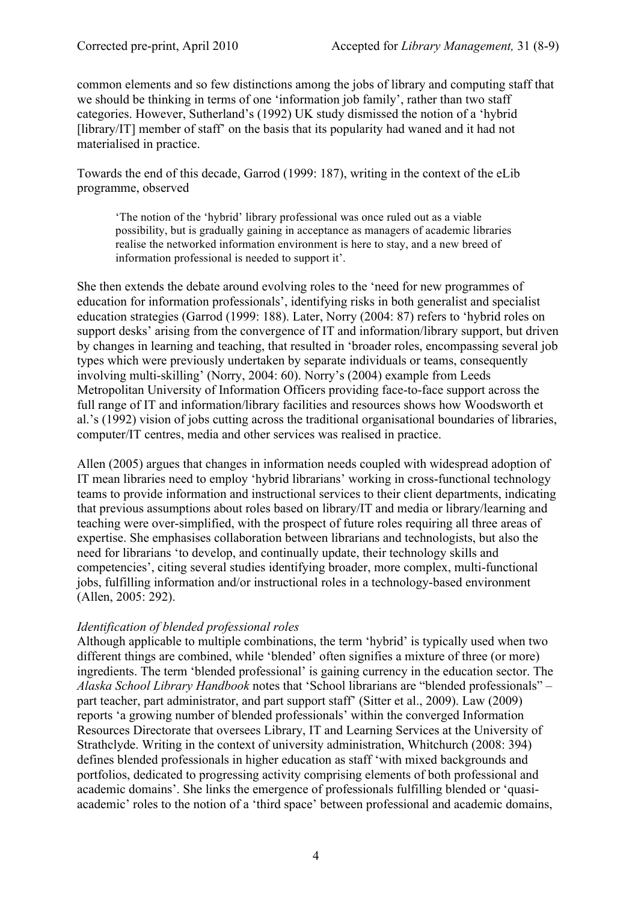common elements and so few distinctions among the jobs of library and computing staff that we should be thinking in terms of one 'information job family', rather than two staff categories. However, Sutherland's (1992) UK study dismissed the notion of a 'hybrid [library/IT] member of staff' on the basis that its popularity had waned and it had not materialised in practice.

Towards the end of this decade, Garrod (1999: 187), writing in the context of the eLib programme, observed

'The notion of the 'hybrid' library professional was once ruled out as a viable possibility, but is gradually gaining in acceptance as managers of academic libraries realise the networked information environment is here to stay, and a new breed of information professional is needed to support it'.

She then extends the debate around evolving roles to the 'need for new programmes of education for information professionals', identifying risks in both generalist and specialist education strategies (Garrod (1999: 188). Later, Norry (2004: 87) refers to 'hybrid roles on support desks' arising from the convergence of IT and information/library support, but driven by changes in learning and teaching, that resulted in 'broader roles, encompassing several job types which were previously undertaken by separate individuals or teams, consequently involving multi-skilling' (Norry, 2004: 60). Norry's (2004) example from Leeds Metropolitan University of Information Officers providing face-to-face support across the full range of IT and information/library facilities and resources shows how Woodsworth et al.'s (1992) vision of jobs cutting across the traditional organisational boundaries of libraries, computer/IT centres, media and other services was realised in practice.

Allen (2005) argues that changes in information needs coupled with widespread adoption of IT mean libraries need to employ 'hybrid librarians' working in cross-functional technology teams to provide information and instructional services to their client departments, indicating that previous assumptions about roles based on library/IT and media or library/learning and teaching were over-simplified, with the prospect of future roles requiring all three areas of expertise. She emphasises collaboration between librarians and technologists, but also the need for librarians 'to develop, and continually update, their technology skills and competencies', citing several studies identifying broader, more complex, multi-functional jobs, fulfilling information and/or instructional roles in a technology-based environment (Allen, 2005: 292).

### *Identification of blended professional roles*

Although applicable to multiple combinations, the term 'hybrid' is typically used when two different things are combined, while 'blended' often signifies a mixture of three (or more) ingredients. The term 'blended professional' is gaining currency in the education sector. The *Alaska School Library Handbook* notes that 'School librarians are "blended professionals" – part teacher, part administrator, and part support staff' (Sitter et al., 2009). Law (2009) reports 'a growing number of blended professionals' within the converged Information Resources Directorate that oversees Library, IT and Learning Services at the University of Strathclyde. Writing in the context of university administration, Whitchurch (2008: 394) defines blended professionals in higher education as staff 'with mixed backgrounds and portfolios, dedicated to progressing activity comprising elements of both professional and academic domains'. She links the emergence of professionals fulfilling blended or 'quasiacademic' roles to the notion of a 'third space' between professional and academic domains,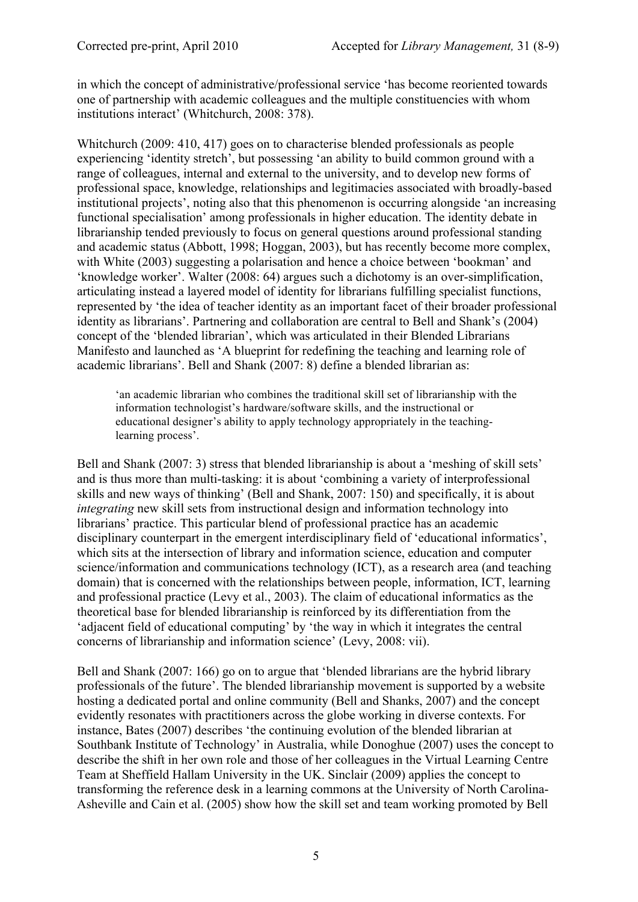in which the concept of administrative/professional service 'has become reoriented towards one of partnership with academic colleagues and the multiple constituencies with whom institutions interact' (Whitchurch, 2008: 378).

Whitchurch (2009: 410, 417) goes on to characterise blended professionals as people experiencing 'identity stretch', but possessing 'an ability to build common ground with a range of colleagues, internal and external to the university, and to develop new forms of professional space, knowledge, relationships and legitimacies associated with broadly-based institutional projects', noting also that this phenomenon is occurring alongside 'an increasing functional specialisation' among professionals in higher education. The identity debate in librarianship tended previously to focus on general questions around professional standing and academic status (Abbott, 1998; Hoggan, 2003), but has recently become more complex, with White (2003) suggesting a polarisation and hence a choice between 'bookman' and 'knowledge worker'. Walter (2008: 64) argues such a dichotomy is an over-simplification, articulating instead a layered model of identity for librarians fulfilling specialist functions, represented by 'the idea of teacher identity as an important facet of their broader professional identity as librarians'. Partnering and collaboration are central to Bell and Shank's (2004) concept of the 'blended librarian', which was articulated in their Blended Librarians Manifesto and launched as 'A blueprint for redefining the teaching and learning role of academic librarians'. Bell and Shank (2007: 8) define a blended librarian as:

'an academic librarian who combines the traditional skill set of librarianship with the information technologist's hardware/software skills, and the instructional or educational designer's ability to apply technology appropriately in the teachinglearning process'.

Bell and Shank (2007: 3) stress that blended librarianship is about a 'meshing of skill sets' and is thus more than multi-tasking: it is about 'combining a variety of interprofessional skills and new ways of thinking' (Bell and Shank, 2007: 150) and specifically, it is about *integrating* new skill sets from instructional design and information technology into librarians' practice. This particular blend of professional practice has an academic disciplinary counterpart in the emergent interdisciplinary field of 'educational informatics', which sits at the intersection of library and information science, education and computer science/information and communications technology (ICT), as a research area (and teaching domain) that is concerned with the relationships between people, information, ICT, learning and professional practice (Levy et al., 2003). The claim of educational informatics as the theoretical base for blended librarianship is reinforced by its differentiation from the 'adjacent field of educational computing' by 'the way in which it integrates the central concerns of librarianship and information science' (Levy, 2008: vii).

Bell and Shank (2007: 166) go on to argue that 'blended librarians are the hybrid library professionals of the future'. The blended librarianship movement is supported by a website hosting a dedicated portal and online community (Bell and Shanks, 2007) and the concept evidently resonates with practitioners across the globe working in diverse contexts. For instance, Bates (2007) describes 'the continuing evolution of the blended librarian at Southbank Institute of Technology' in Australia, while Donoghue (2007) uses the concept to describe the shift in her own role and those of her colleagues in the Virtual Learning Centre Team at Sheffield Hallam University in the UK. Sinclair (2009) applies the concept to transforming the reference desk in a learning commons at the University of North Carolina-Asheville and Cain et al. (2005) show how the skill set and team working promoted by Bell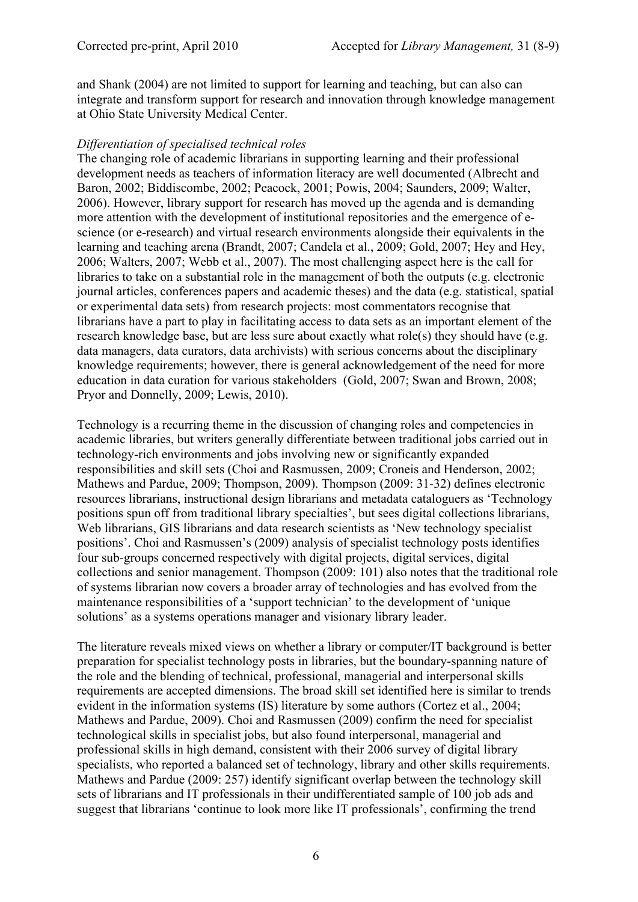and Shank (2004) are not limited to support for learning and teaching, but can also can integrate and transform support for research and innovation through knowledge management at Ohio State University Medical Center.

### *Differentiation of specialised technical roles*

The changing role of academic librarians in supporting learning and their professional development needs as teachers of information literacy are well documented (Albrecht and Baron, 2002; Biddiscombe, 2002; Peacock, 2001; Powis, 2004; Saunders, 2009; Walter, 2006). However, library support for research has moved up the agenda and is demanding more attention with the development of institutional repositories and the emergence of escience (or e-research) and virtual research environments alongside their equivalents in the learning and teaching arena (Brandt, 2007; Candela et al., 2009; Gold, 2007; Hey and Hey, 2006; Walters, 2007; Webb et al., 2007). The most challenging aspect here is the call for libraries to take on a substantial role in the management of both the outputs (e.g. electronic journal articles, conferences papers and academic theses) and the data (e.g. statistical, spatial or experimental data sets) from research projects: most commentators recognise that librarians have a part to play in facilitating access to data sets as an important element of the research knowledge base, but are less sure about exactly what role(s) they should have (e.g. data managers, data curators, data archivists) with serious concerns about the disciplinary knowledge requirements; however, there is general acknowledgement of the need for more education in data curation for various stakeholders (Gold, 2007; Swan and Brown, 2008; Pryor and Donnelly, 2009; Lewis, 2010).

Technology is a recurring theme in the discussion of changing roles and competencies in academic libraries, but writers generally differentiate between traditional jobs carried out in technology-rich environments and jobs involving new or significantly expanded responsibilities and skill sets (Choi and Rasmussen, 2009; Croneis and Henderson, 2002; Mathews and Pardue, 2009; Thompson, 2009). Thompson (2009: 31-32) defines electronic resources librarians, instructional design librarians and metadata cataloguers as 'Technology positions spun off from traditional library specialties', but sees digital collections librarians, Web librarians, GIS librarians and data research scientists as 'New technology specialist positions'. Choi and Rasmussen's (2009) analysis of specialist technology posts identifies four sub-groups concerned respectively with digital projects, digital services, digital collections and senior management. Thompson (2009: 101) also notes that the traditional role of systems librarian now covers a broader array of technologies and has evolved from the maintenance responsibilities of a 'support technician' to the development of 'unique solutions' as a systems operations manager and visionary library leader.

The literature reveals mixed views on whether a library or computer/IT background is better preparation for specialist technology posts in libraries, but the boundary-spanning nature of the role and the blending of technical, professional, managerial and interpersonal skills requirements are accepted dimensions. The broad skill set identified here is similar to trends evident in the information systems (IS) literature by some authors (Cortez et al., 2004; Mathews and Pardue, 2009). Choi and Rasmussen (2009) confirm the need for specialist technological skills in specialist jobs, but also found interpersonal, managerial and professional skills in high demand, consistent with their 2006 survey of digital library specialists, who reported a balanced set of technology, library and other skills requirements. Mathews and Pardue (2009: 257) identify significant overlap between the technology skill sets of librarians and IT professionals in their undifferentiated sample of 100 job ads and suggest that librarians 'continue to look more like IT professionals', confirming the trend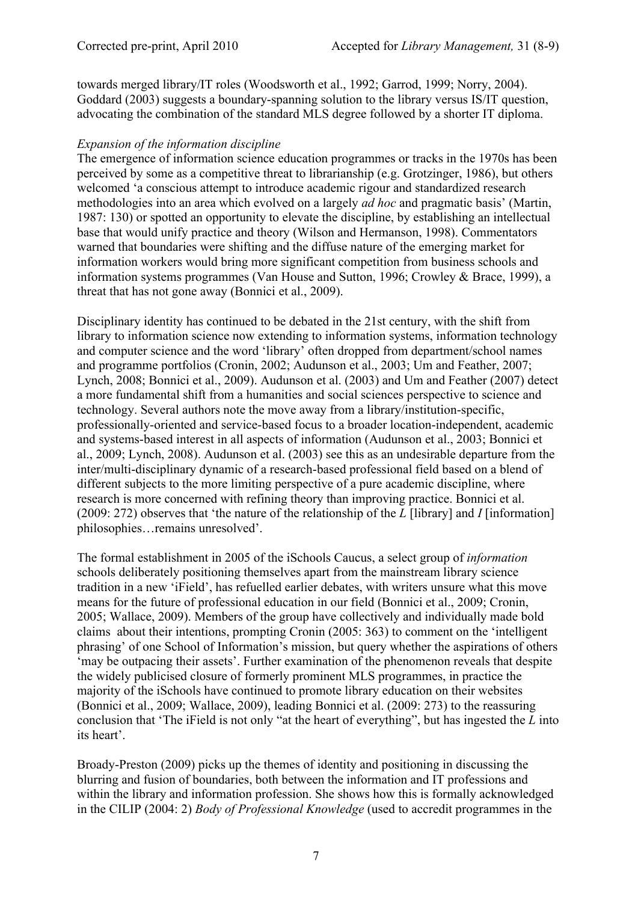towards merged library/IT roles (Woodsworth et al., 1992; Garrod, 1999; Norry, 2004). Goddard (2003) suggests a boundary-spanning solution to the library versus IS/IT question, advocating the combination of the standard MLS degree followed by a shorter IT diploma.

### *Expansion of the information discipline*

The emergence of information science education programmes or tracks in the 1970s has been perceived by some as a competitive threat to librarianship (e.g. Grotzinger, 1986), but others welcomed 'a conscious attempt to introduce academic rigour and standardized research methodologies into an area which evolved on a largely *ad hoc* and pragmatic basis' (Martin, 1987: 130) or spotted an opportunity to elevate the discipline, by establishing an intellectual base that would unify practice and theory (Wilson and Hermanson, 1998). Commentators warned that boundaries were shifting and the diffuse nature of the emerging market for information workers would bring more significant competition from business schools and information systems programmes (Van House and Sutton, 1996; Crowley & Brace, 1999), a threat that has not gone away (Bonnici et al., 2009).

Disciplinary identity has continued to be debated in the 21st century, with the shift from library to information science now extending to information systems, information technology and computer science and the word 'library' often dropped from department/school names and programme portfolios (Cronin, 2002; Audunson et al., 2003; Um and Feather, 2007; Lynch, 2008; Bonnici et al., 2009). Audunson et al. (2003) and Um and Feather (2007) detect a more fundamental shift from a humanities and social sciences perspective to science and technology. Several authors note the move away from a library/institution-specific, professionally-oriented and service-based focus to a broader location-independent, academic and systems-based interest in all aspects of information (Audunson et al., 2003; Bonnici et al., 2009; Lynch, 2008). Audunson et al. (2003) see this as an undesirable departure from the inter/multi-disciplinary dynamic of a research-based professional field based on a blend of different subjects to the more limiting perspective of a pure academic discipline, where research is more concerned with refining theory than improving practice. Bonnici et al. (2009: 272) observes that 'the nature of the relationship of the *L* [library] and *I* [information] philosophies…remains unresolved'.

The formal establishment in 2005 of the iSchools Caucus, a select group of *information*  schools deliberately positioning themselves apart from the mainstream library science tradition in a new 'iField', has refuelled earlier debates, with writers unsure what this move means for the future of professional education in our field (Bonnici et al., 2009; Cronin, 2005; Wallace, 2009). Members of the group have collectively and individually made bold claims about their intentions, prompting Cronin (2005: 363) to comment on the 'intelligent phrasing' of one School of Information's mission, but query whether the aspirations of others 'may be outpacing their assets'. Further examination of the phenomenon reveals that despite the widely publicised closure of formerly prominent MLS programmes, in practice the majority of the iSchools have continued to promote library education on their websites (Bonnici et al., 2009; Wallace, 2009), leading Bonnici et al. (2009: 273) to the reassuring conclusion that 'The iField is not only "at the heart of everything", but has ingested the *L* into its heart'.

Broady-Preston (2009) picks up the themes of identity and positioning in discussing the blurring and fusion of boundaries, both between the information and IT professions and within the library and information profession. She shows how this is formally acknowledged in the CILIP (2004: 2) *Body of Professional Knowledge* (used to accredit programmes in the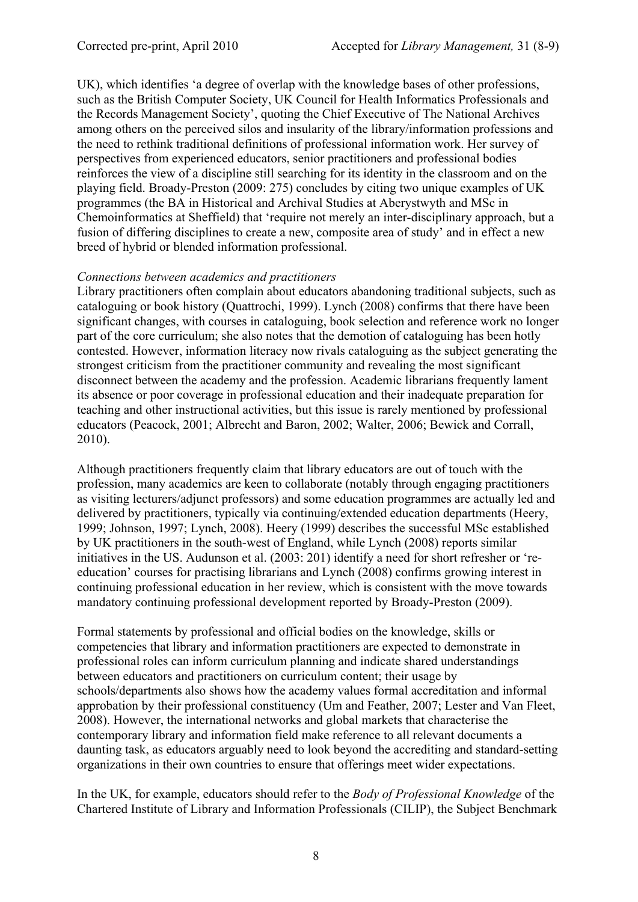UK), which identifies 'a degree of overlap with the knowledge bases of other professions, such as the British Computer Society, UK Council for Health Informatics Professionals and the Records Management Society', quoting the Chief Executive of The National Archives among others on the perceived silos and insularity of the library/information professions and the need to rethink traditional definitions of professional information work. Her survey of perspectives from experienced educators, senior practitioners and professional bodies reinforces the view of a discipline still searching for its identity in the classroom and on the playing field. Broady-Preston (2009: 275) concludes by citing two unique examples of UK programmes (the BA in Historical and Archival Studies at Aberystwyth and MSc in Chemoinformatics at Sheffield) that 'require not merely an inter-disciplinary approach, but a fusion of differing disciplines to create a new, composite area of study' and in effect a new breed of hybrid or blended information professional.

### *Connections between academics and practitioners*

Library practitioners often complain about educators abandoning traditional subjects, such as cataloguing or book history (Quattrochi, 1999). Lynch (2008) confirms that there have been significant changes, with courses in cataloguing, book selection and reference work no longer part of the core curriculum; she also notes that the demotion of cataloguing has been hotly contested. However, information literacy now rivals cataloguing as the subject generating the strongest criticism from the practitioner community and revealing the most significant disconnect between the academy and the profession. Academic librarians frequently lament its absence or poor coverage in professional education and their inadequate preparation for teaching and other instructional activities, but this issue is rarely mentioned by professional educators (Peacock, 2001; Albrecht and Baron, 2002; Walter, 2006; Bewick and Corrall, 2010).

Although practitioners frequently claim that library educators are out of touch with the profession, many academics are keen to collaborate (notably through engaging practitioners as visiting lecturers/adjunct professors) and some education programmes are actually led and delivered by practitioners, typically via continuing/extended education departments (Heery, 1999; Johnson, 1997; Lynch, 2008). Heery (1999) describes the successful MSc established by UK practitioners in the south-west of England, while Lynch (2008) reports similar initiatives in the US. Audunson et al. (2003: 201) identify a need for short refresher or 'reeducation' courses for practising librarians and Lynch (2008) confirms growing interest in continuing professional education in her review, which is consistent with the move towards mandatory continuing professional development reported by Broady-Preston (2009).

Formal statements by professional and official bodies on the knowledge, skills or competencies that library and information practitioners are expected to demonstrate in professional roles can inform curriculum planning and indicate shared understandings between educators and practitioners on curriculum content; their usage by schools/departments also shows how the academy values formal accreditation and informal approbation by their professional constituency (Um and Feather, 2007; Lester and Van Fleet, 2008). However, the international networks and global markets that characterise the contemporary library and information field make reference to all relevant documents a daunting task, as educators arguably need to look beyond the accrediting and standard-setting organizations in their own countries to ensure that offerings meet wider expectations.

In the UK, for example, educators should refer to the *Body of Professional Knowledge* of the Chartered Institute of Library and Information Professionals (CILIP), the Subject Benchmark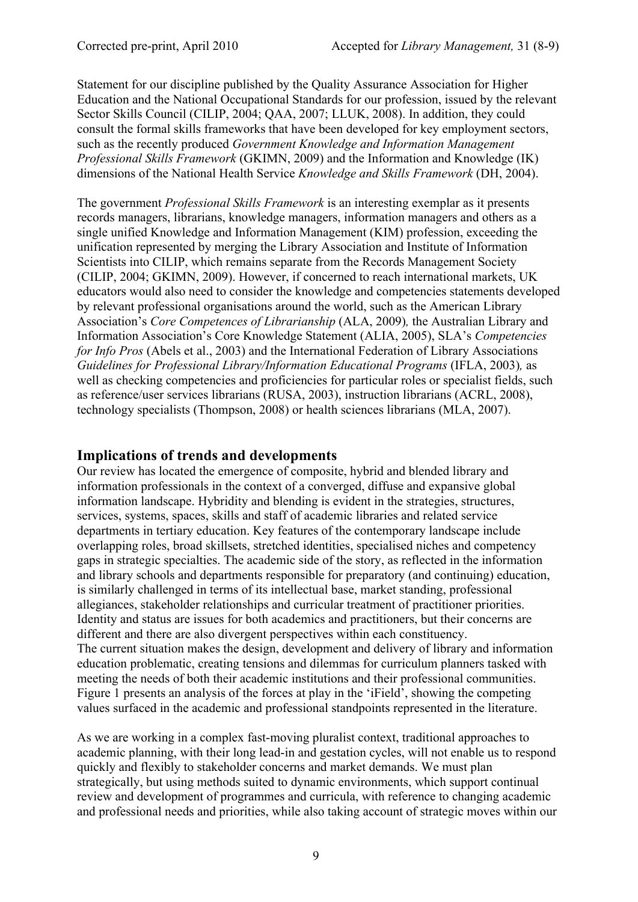Statement for our discipline published by the Quality Assurance Association for Higher Education and the National Occupational Standards for our profession, issued by the relevant Sector Skills Council (CILIP, 2004; QAA, 2007; LLUK, 2008). In addition, they could consult the formal skills frameworks that have been developed for key employment sectors, such as the recently produced *Government Knowledge and Information Management Professional Skills Framework* (GKIMN, 2009) and the Information and Knowledge (IK) dimensions of the National Health Service *Knowledge and Skills Framework* (DH, 2004).

The government *Professional Skills Framework* is an interesting exemplar as it presents records managers, librarians, knowledge managers, information managers and others as a single unified Knowledge and Information Management (KIM) profession, exceeding the unification represented by merging the Library Association and Institute of Information Scientists into CILIP, which remains separate from the Records Management Society (CILIP, 2004; GKIMN, 2009). However, if concerned to reach international markets, UK educators would also need to consider the knowledge and competencies statements developed by relevant professional organisations around the world, such as the American Library Association's *Core Competences of Librarianship* (ALA, 2009)*,* the Australian Library and Information Association's Core Knowledge Statement (ALIA, 2005), SLA's *Competencies for Info Pros* (Abels et al., 2003) and the International Federation of Library Associations *Guidelines for Professional Library/Information Educational Programs* (IFLA, 2003)*,* as well as checking competencies and proficiencies for particular roles or specialist fields, such as reference/user services librarians (RUSA, 2003), instruction librarians (ACRL, 2008), technology specialists (Thompson, 2008) or health sciences librarians (MLA, 2007).

## **Implications of trends and developments**

Our review has located the emergence of composite, hybrid and blended library and information professionals in the context of a converged, diffuse and expansive global information landscape. Hybridity and blending is evident in the strategies, structures, services, systems, spaces, skills and staff of academic libraries and related service departments in tertiary education. Key features of the contemporary landscape include overlapping roles, broad skillsets, stretched identities, specialised niches and competency gaps in strategic specialties. The academic side of the story, as reflected in the information and library schools and departments responsible for preparatory (and continuing) education, is similarly challenged in terms of its intellectual base, market standing, professional allegiances, stakeholder relationships and curricular treatment of practitioner priorities. Identity and status are issues for both academics and practitioners, but their concerns are different and there are also divergent perspectives within each constituency. The current situation makes the design, development and delivery of library and information education problematic, creating tensions and dilemmas for curriculum planners tasked with meeting the needs of both their academic institutions and their professional communities. Figure 1 presents an analysis of the forces at play in the 'iField', showing the competing values surfaced in the academic and professional standpoints represented in the literature.

As we are working in a complex fast-moving pluralist context, traditional approaches to academic planning, with their long lead-in and gestation cycles, will not enable us to respond quickly and flexibly to stakeholder concerns and market demands. We must plan strategically, but using methods suited to dynamic environments, which support continual review and development of programmes and curricula, with reference to changing academic and professional needs and priorities, while also taking account of strategic moves within our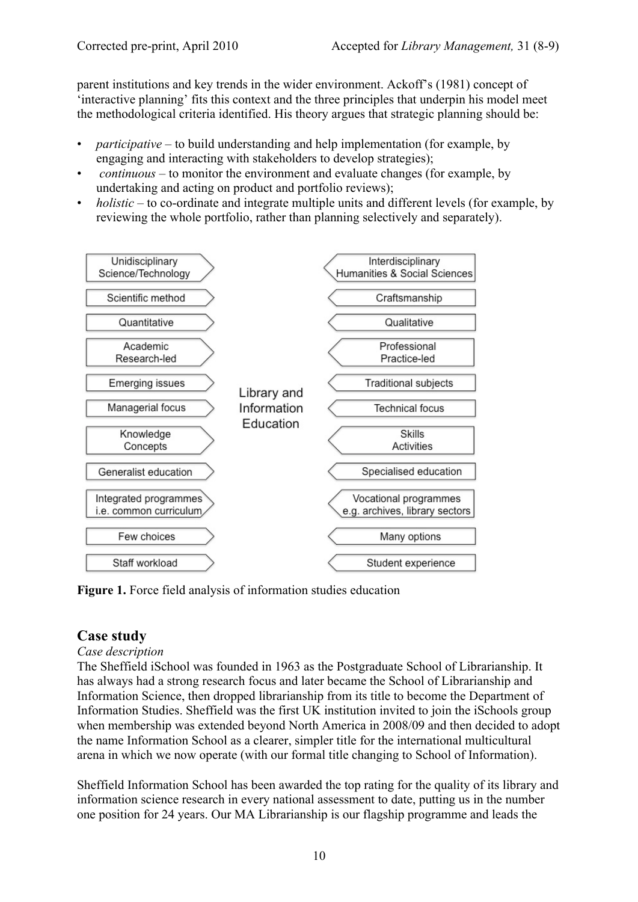parent institutions and key trends in the wider environment. Ackoff's (1981) concept of 'interactive planning' fits this context and the three principles that underpin his model meet the methodological criteria identified. His theory argues that strategic planning should be:

- *participative* to build understanding and help implementation (for example, by engaging and interacting with stakeholders to develop strategies);
- *continuous*  to monitor the environment and evaluate changes (for example, by undertaking and acting on product and portfolio reviews);
- *holistic* to co-ordinate and integrate multiple units and different levels (for example, by reviewing the whole portfolio, rather than planning selectively and separately).



**Figure 1.** Force field analysis of information studies education

# **Case study**

*Case description*

The Sheffield iSchool was founded in 1963 as the Postgraduate School of Librarianship. It has always had a strong research focus and later became the School of Librarianship and Information Science, then dropped librarianship from its title to become the Department of Information Studies. Sheffield was the first UK institution invited to join the iSchools group when membership was extended beyond North America in 2008/09 and then decided to adopt the name Information School as a clearer, simpler title for the international multicultural arena in which we now operate (with our formal title changing to School of Information).

Sheffield Information School has been awarded the top rating for the quality of its library and information science research in every national assessment to date, putting us in the number one position for 24 years. Our MA Librarianship is our flagship programme and leads the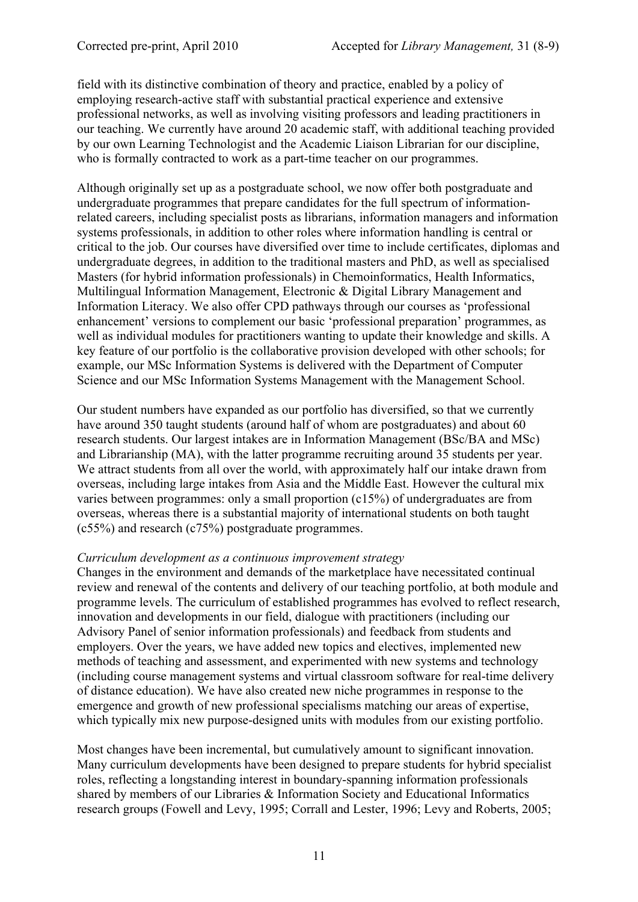field with its distinctive combination of theory and practice, enabled by a policy of employing research-active staff with substantial practical experience and extensive professional networks, as well as involving visiting professors and leading practitioners in our teaching. We currently have around 20 academic staff, with additional teaching provided by our own Learning Technologist and the Academic Liaison Librarian for our discipline, who is formally contracted to work as a part-time teacher on our programmes.

Although originally set up as a postgraduate school, we now offer both postgraduate and undergraduate programmes that prepare candidates for the full spectrum of informationrelated careers, including specialist posts as librarians, information managers and information systems professionals, in addition to other roles where information handling is central or critical to the job. Our courses have diversified over time to include certificates, diplomas and undergraduate degrees, in addition to the traditional masters and PhD, as well as specialised Masters (for hybrid information professionals) in Chemoinformatics, Health Informatics, Multilingual Information Management, Electronic & Digital Library Management and Information Literacy. We also offer CPD pathways through our courses as 'professional enhancement' versions to complement our basic 'professional preparation' programmes, as well as individual modules for practitioners wanting to update their knowledge and skills. A key feature of our portfolio is the collaborative provision developed with other schools; for example, our MSc Information Systems is delivered with the Department of Computer Science and our MSc Information Systems Management with the Management School.

Our student numbers have expanded as our portfolio has diversified, so that we currently have around 350 taught students (around half of whom are postgraduates) and about 60 research students. Our largest intakes are in Information Management (BSc/BA and MSc) and Librarianship (MA), with the latter programme recruiting around 35 students per year. We attract students from all over the world, with approximately half our intake drawn from overseas, including large intakes from Asia and the Middle East. However the cultural mix varies between programmes: only a small proportion (c15%) of undergraduates are from overseas, whereas there is a substantial majority of international students on both taught (c55%) and research (c75%) postgraduate programmes.

#### *Curriculum development as a continuous improvement strategy*

Changes in the environment and demands of the marketplace have necessitated continual review and renewal of the contents and delivery of our teaching portfolio, at both module and programme levels. The curriculum of established programmes has evolved to reflect research, innovation and developments in our field, dialogue with practitioners (including our Advisory Panel of senior information professionals) and feedback from students and employers. Over the years, we have added new topics and electives, implemented new methods of teaching and assessment, and experimented with new systems and technology (including course management systems and virtual classroom software for real-time delivery of distance education). We have also created new niche programmes in response to the emergence and growth of new professional specialisms matching our areas of expertise, which typically mix new purpose-designed units with modules from our existing portfolio.

Most changes have been incremental, but cumulatively amount to significant innovation. Many curriculum developments have been designed to prepare students for hybrid specialist roles, reflecting a longstanding interest in boundary-spanning information professionals shared by members of our Libraries & Information Society and Educational Informatics research groups (Fowell and Levy, 1995; Corrall and Lester, 1996; Levy and Roberts, 2005;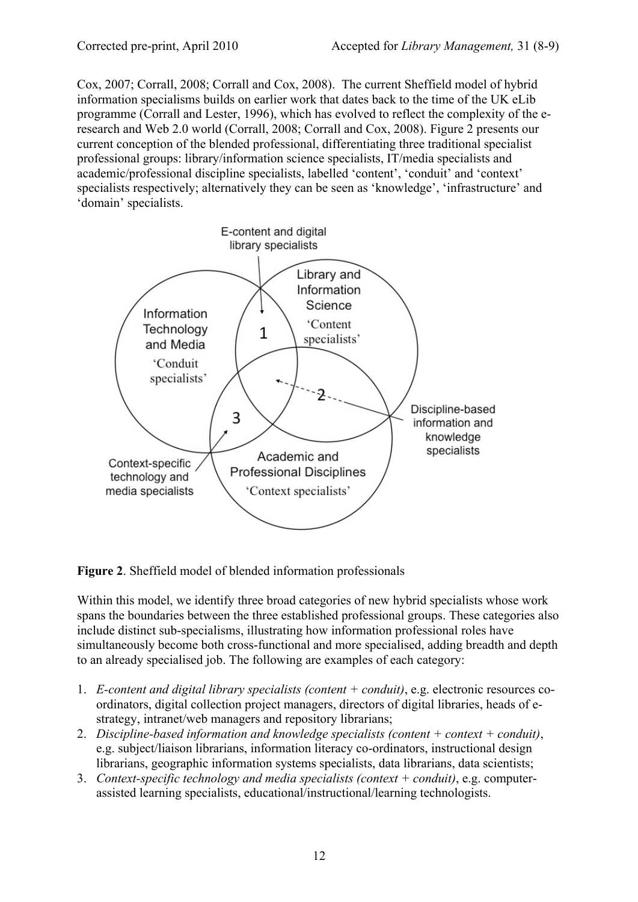Cox, 2007; Corrall, 2008; Corrall and Cox, 2008). The current Sheffield model of hybrid information specialisms builds on earlier work that dates back to the time of the UK eLib programme (Corrall and Lester, 1996), which has evolved to reflect the complexity of the eresearch and Web 2.0 world (Corrall, 2008; Corrall and Cox, 2008). Figure 2 presents our current conception of the blended professional, differentiating three traditional specialist professional groups: library/information science specialists, IT/media specialists and academic/professional discipline specialists, labelled 'content', 'conduit' and 'context' specialists respectively; alternatively they can be seen as 'knowledge', 'infrastructure' and 'domain' specialists.



**Figure 2**. Sheffield model of blended information professionals

Within this model, we identify three broad categories of new hybrid specialists whose work spans the boundaries between the three established professional groups. These categories also include distinct sub-specialisms, illustrating how information professional roles have simultaneously become both cross-functional and more specialised, adding breadth and depth to an already specialised job. The following are examples of each category:

- 1. *E-content and digital library specialists (content + conduit)*, e.g. electronic resources coordinators, digital collection project managers, directors of digital libraries, heads of estrategy, intranet/web managers and repository librarians;
- 2. *Discipline-based information and knowledge specialists (content + context + conduit)*, e.g. subject/liaison librarians, information literacy co-ordinators, instructional design librarians, geographic information systems specialists, data librarians, data scientists;
- 3. *Context-specific technology and media specialists (context + conduit)*, e.g. computerassisted learning specialists, educational/instructional/learning technologists.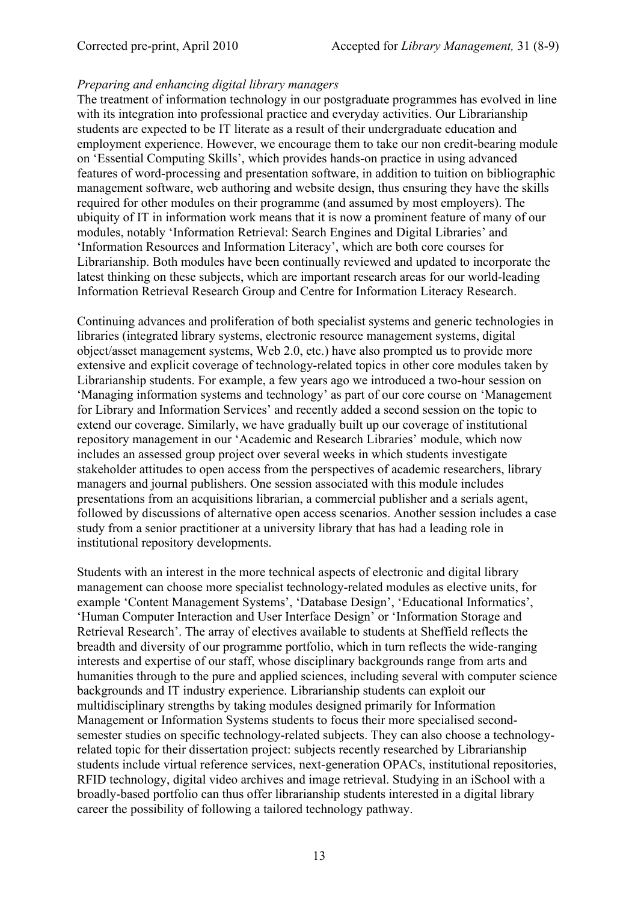#### *Preparing and enhancing digital library managers*

The treatment of information technology in our postgraduate programmes has evolved in line with its integration into professional practice and everyday activities. Our Librarianship students are expected to be IT literate as a result of their undergraduate education and employment experience. However, we encourage them to take our non credit-bearing module on 'Essential Computing Skills', which provides hands-on practice in using advanced features of word-processing and presentation software, in addition to tuition on bibliographic management software, web authoring and website design, thus ensuring they have the skills required for other modules on their programme (and assumed by most employers). The ubiquity of IT in information work means that it is now a prominent feature of many of our modules, notably 'Information Retrieval: Search Engines and Digital Libraries' and 'Information Resources and Information Literacy', which are both core courses for Librarianship. Both modules have been continually reviewed and updated to incorporate the latest thinking on these subjects, which are important research areas for our world-leading Information Retrieval Research Group and Centre for Information Literacy Research.

Continuing advances and proliferation of both specialist systems and generic technologies in libraries (integrated library systems, electronic resource management systems, digital object/asset management systems, Web 2.0, etc.) have also prompted us to provide more extensive and explicit coverage of technology-related topics in other core modules taken by Librarianship students. For example, a few years ago we introduced a two-hour session on 'Managing information systems and technology' as part of our core course on 'Management for Library and Information Services' and recently added a second session on the topic to extend our coverage. Similarly, we have gradually built up our coverage of institutional repository management in our 'Academic and Research Libraries' module, which now includes an assessed group project over several weeks in which students investigate stakeholder attitudes to open access from the perspectives of academic researchers, library managers and journal publishers. One session associated with this module includes presentations from an acquisitions librarian, a commercial publisher and a serials agent, followed by discussions of alternative open access scenarios. Another session includes a case study from a senior practitioner at a university library that has had a leading role in institutional repository developments.

Students with an interest in the more technical aspects of electronic and digital library management can choose more specialist technology-related modules as elective units, for example 'Content Management Systems', 'Database Design', 'Educational Informatics', 'Human Computer Interaction and User Interface Design' or 'Information Storage and Retrieval Research'. The array of electives available to students at Sheffield reflects the breadth and diversity of our programme portfolio, which in turn reflects the wide-ranging interests and expertise of our staff, whose disciplinary backgrounds range from arts and humanities through to the pure and applied sciences, including several with computer science backgrounds and IT industry experience. Librarianship students can exploit our multidisciplinary strengths by taking modules designed primarily for Information Management or Information Systems students to focus their more specialised secondsemester studies on specific technology-related subjects. They can also choose a technologyrelated topic for their dissertation project: subjects recently researched by Librarianship students include virtual reference services, next-generation OPACs, institutional repositories, RFID technology, digital video archives and image retrieval. Studying in an iSchool with a broadly-based portfolio can thus offer librarianship students interested in a digital library career the possibility of following a tailored technology pathway.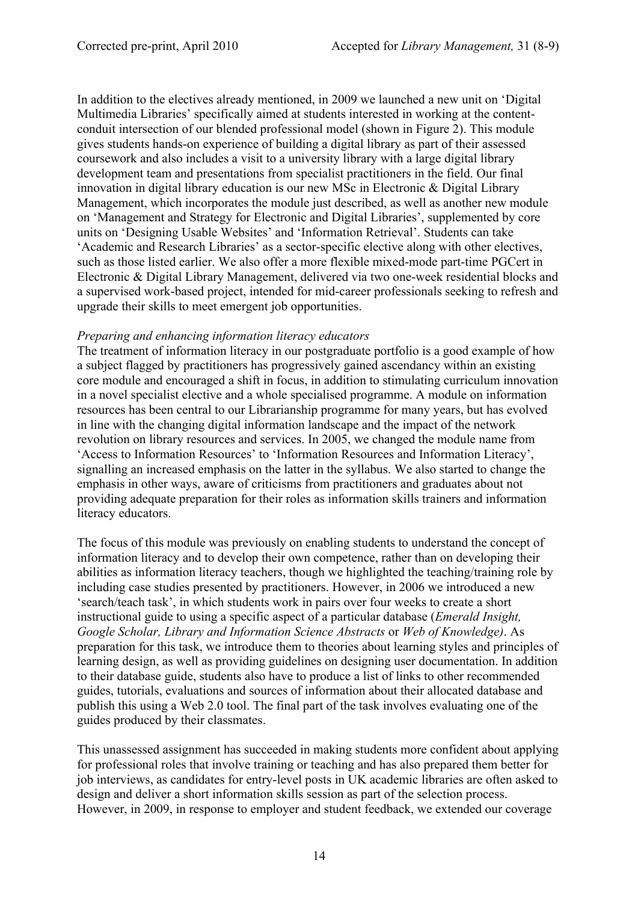In addition to the electives already mentioned, in 2009 we launched a new unit on 'Digital Multimedia Libraries' specifically aimed at students interested in working at the contentconduit intersection of our blended professional model (shown in Figure 2). This module gives students hands-on experience of building a digital library as part of their assessed coursework and also includes a visit to a university library with a large digital library development team and presentations from specialist practitioners in the field. Our final innovation in digital library education is our new MSc in Electronic & Digital Library Management, which incorporates the module just described, as well as another new module on 'Management and Strategy for Electronic and Digital Libraries', supplemented by core units on 'Designing Usable Websites' and 'Information Retrieval'. Students can take 'Academic and Research Libraries' as a sector-specific elective along with other electives, such as those listed earlier. We also offer a more flexible mixed-mode part-time PGCert in Electronic & Digital Library Management, delivered via two one-week residential blocks and a supervised work-based project, intended for mid-career professionals seeking to refresh and upgrade their skills to meet emergent job opportunities.

#### *Preparing and enhancing information literacy educators*

The treatment of information literacy in our postgraduate portfolio is a good example of how a subject flagged by practitioners has progressively gained ascendancy within an existing core module and encouraged a shift in focus, in addition to stimulating curriculum innovation in a novel specialist elective and a whole specialised programme. A module on information resources has been central to our Librarianship programme for many years, but has evolved in line with the changing digital information landscape and the impact of the network revolution on library resources and services. In 2005, we changed the module name from 'Access to Information Resources' to 'Information Resources and Information Literacy', signalling an increased emphasis on the latter in the syllabus. We also started to change the emphasis in other ways, aware of criticisms from practitioners and graduates about not providing adequate preparation for their roles as information skills trainers and information literacy educators.

The focus of this module was previously on enabling students to understand the concept of information literacy and to develop their own competence, rather than on developing their abilities as information literacy teachers, though we highlighted the teaching/training role by including case studies presented by practitioners. However, in 2006 we introduced a new 'search/teach task', in which students work in pairs over four weeks to create a short instructional guide to using a specific aspect of a particular database (*Emerald Insight, Google Scholar, Library and Information Science Abstracts* or *Web of Knowledge)*. As preparation for this task, we introduce them to theories about learning styles and principles of learning design, as well as providing guidelines on designing user documentation. In addition to their database guide, students also have to produce a list of links to other recommended guides, tutorials, evaluations and sources of information about their allocated database and publish this using a Web 2.0 tool. The final part of the task involves evaluating one of the guides produced by their classmates.

This unassessed assignment has succeeded in making students more confident about applying for professional roles that involve training or teaching and has also prepared them better for job interviews, as candidates for entry-level posts in UK academic libraries are often asked to design and deliver a short information skills session as part of the selection process. However, in 2009, in response to employer and student feedback, we extended our coverage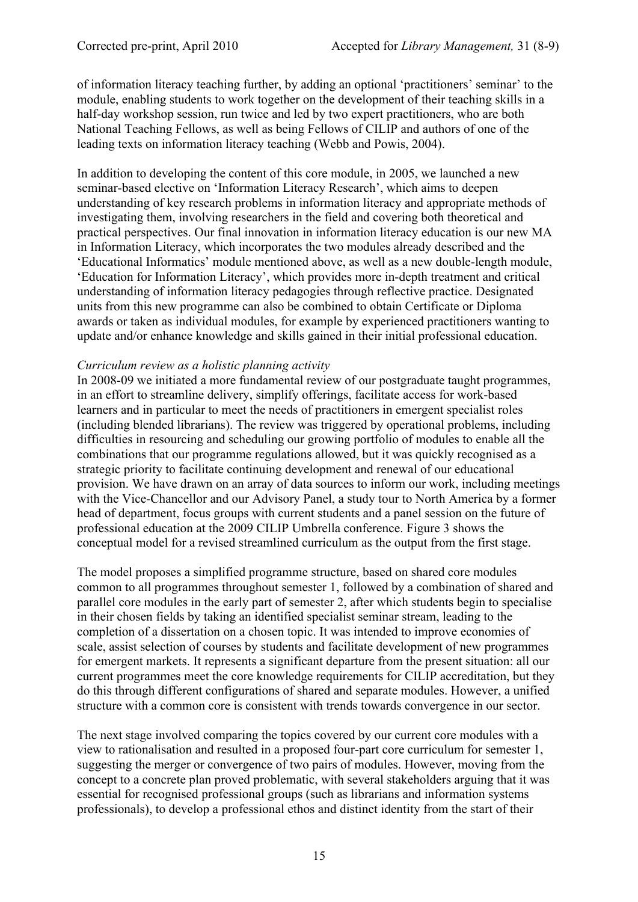of information literacy teaching further, by adding an optional 'practitioners' seminar' to the module, enabling students to work together on the development of their teaching skills in a half-day workshop session, run twice and led by two expert practitioners, who are both National Teaching Fellows, as well as being Fellows of CILIP and authors of one of the leading texts on information literacy teaching (Webb and Powis, 2004).

In addition to developing the content of this core module, in 2005, we launched a new seminar-based elective on 'Information Literacy Research', which aims to deepen understanding of key research problems in information literacy and appropriate methods of investigating them, involving researchers in the field and covering both theoretical and practical perspectives. Our final innovation in information literacy education is our new MA in Information Literacy, which incorporates the two modules already described and the 'Educational Informatics' module mentioned above, as well as a new double-length module, 'Education for Information Literacy', which provides more in-depth treatment and critical understanding of information literacy pedagogies through reflective practice. Designated units from this new programme can also be combined to obtain Certificate or Diploma awards or taken as individual modules, for example by experienced practitioners wanting to update and/or enhance knowledge and skills gained in their initial professional education.

#### *Curriculum review as a holistic planning activity*

In 2008-09 we initiated a more fundamental review of our postgraduate taught programmes, in an effort to streamline delivery, simplify offerings, facilitate access for work-based learners and in particular to meet the needs of practitioners in emergent specialist roles (including blended librarians). The review was triggered by operational problems, including difficulties in resourcing and scheduling our growing portfolio of modules to enable all the combinations that our programme regulations allowed, but it was quickly recognised as a strategic priority to facilitate continuing development and renewal of our educational provision. We have drawn on an array of data sources to inform our work, including meetings with the Vice-Chancellor and our Advisory Panel, a study tour to North America by a former head of department, focus groups with current students and a panel session on the future of professional education at the 2009 CILIP Umbrella conference. Figure 3 shows the conceptual model for a revised streamlined curriculum as the output from the first stage.

The model proposes a simplified programme structure, based on shared core modules common to all programmes throughout semester 1, followed by a combination of shared and parallel core modules in the early part of semester 2, after which students begin to specialise in their chosen fields by taking an identified specialist seminar stream, leading to the completion of a dissertation on a chosen topic. It was intended to improve economies of scale, assist selection of courses by students and facilitate development of new programmes for emergent markets. It represents a significant departure from the present situation: all our current programmes meet the core knowledge requirements for CILIP accreditation, but they do this through different configurations of shared and separate modules. However, a unified structure with a common core is consistent with trends towards convergence in our sector.

The next stage involved comparing the topics covered by our current core modules with a view to rationalisation and resulted in a proposed four-part core curriculum for semester 1, suggesting the merger or convergence of two pairs of modules. However, moving from the concept to a concrete plan proved problematic, with several stakeholders arguing that it was essential for recognised professional groups (such as librarians and information systems professionals), to develop a professional ethos and distinct identity from the start of their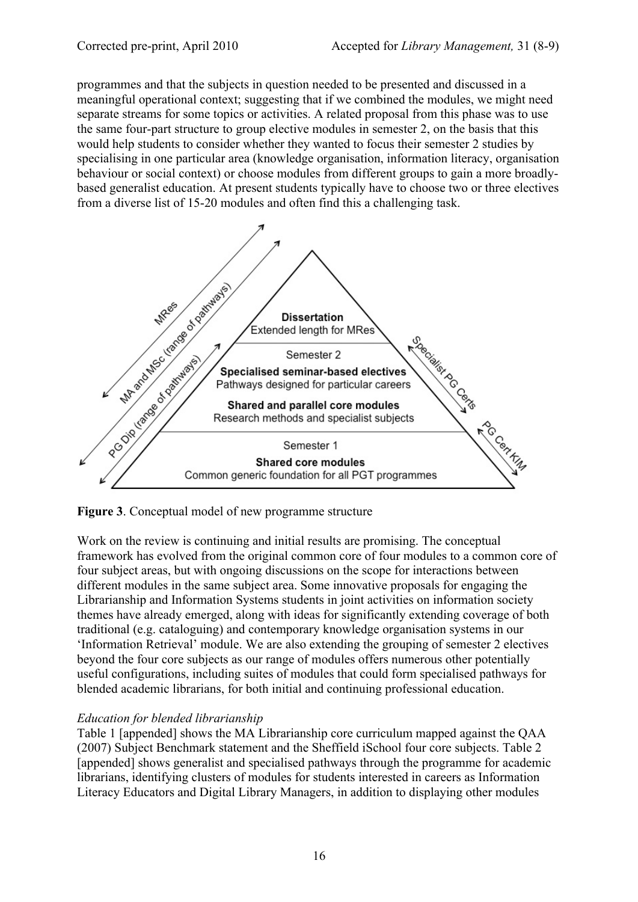programmes and that the subjects in question needed to be presented and discussed in a meaningful operational context; suggesting that if we combined the modules, we might need separate streams for some topics or activities. A related proposal from this phase was to use the same four-part structure to group elective modules in semester 2, on the basis that this would help students to consider whether they wanted to focus their semester 2 studies by specialising in one particular area (knowledge organisation, information literacy, organisation behaviour or social context) or choose modules from different groups to gain a more broadlybased generalist education. At present students typically have to choose two or three electives from a diverse list of 15-20 modules and often find this a challenging task.



**Figure 3**. Conceptual model of new programme structure

Work on the review is continuing and initial results are promising. The conceptual framework has evolved from the original common core of four modules to a common core of four subject areas, but with ongoing discussions on the scope for interactions between different modules in the same subject area. Some innovative proposals for engaging the Librarianship and Information Systems students in joint activities on information society themes have already emerged, along with ideas for significantly extending coverage of both traditional (e.g. cataloguing) and contemporary knowledge organisation systems in our 'Information Retrieval' module. We are also extending the grouping of semester 2 electives beyond the four core subjects as our range of modules offers numerous other potentially useful configurations, including suites of modules that could form specialised pathways for blended academic librarians, for both initial and continuing professional education.

### *Education for blended librarianship*

Table 1 [appended] shows the MA Librarianship core curriculum mapped against the QAA (2007) Subject Benchmark statement and the Sheffield iSchool four core subjects. Table 2 [appended] shows generalist and specialised pathways through the programme for academic librarians, identifying clusters of modules for students interested in careers as Information Literacy Educators and Digital Library Managers, in addition to displaying other modules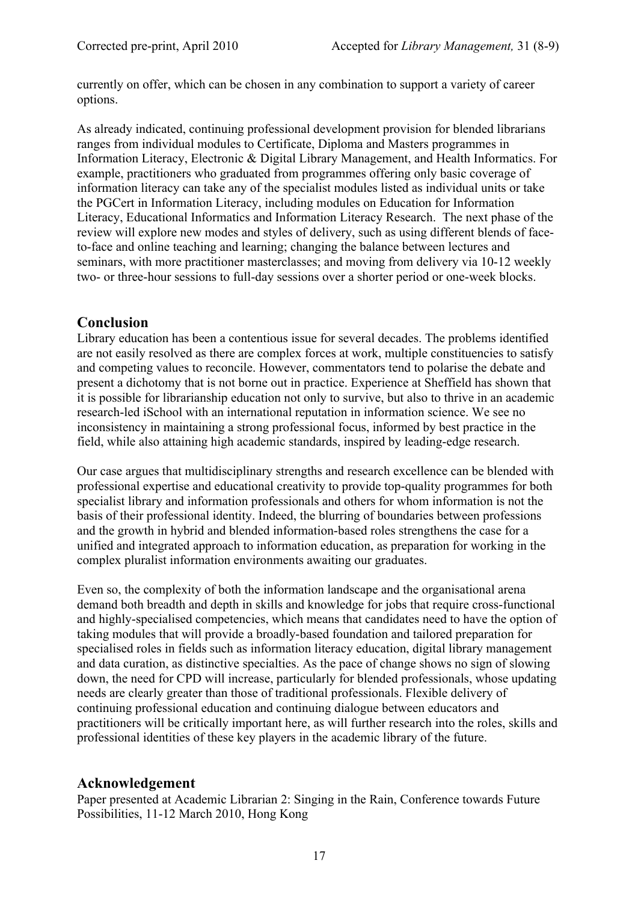currently on offer, which can be chosen in any combination to support a variety of career options.

As already indicated, continuing professional development provision for blended librarians ranges from individual modules to Certificate, Diploma and Masters programmes in Information Literacy, Electronic & Digital Library Management, and Health Informatics. For example, practitioners who graduated from programmes offering only basic coverage of information literacy can take any of the specialist modules listed as individual units or take the PGCert in Information Literacy, including modules on Education for Information Literacy, Educational Informatics and Information Literacy Research. The next phase of the review will explore new modes and styles of delivery, such as using different blends of faceto-face and online teaching and learning; changing the balance between lectures and seminars, with more practitioner masterclasses; and moving from delivery via 10-12 weekly two- or three-hour sessions to full-day sessions over a shorter period or one-week blocks.

# **Conclusion**

Library education has been a contentious issue for several decades. The problems identified are not easily resolved as there are complex forces at work, multiple constituencies to satisfy and competing values to reconcile. However, commentators tend to polarise the debate and present a dichotomy that is not borne out in practice. Experience at Sheffield has shown that it is possible for librarianship education not only to survive, but also to thrive in an academic research-led iSchool with an international reputation in information science. We see no inconsistency in maintaining a strong professional focus, informed by best practice in the field, while also attaining high academic standards, inspired by leading-edge research.

Our case argues that multidisciplinary strengths and research excellence can be blended with professional expertise and educational creativity to provide top-quality programmes for both specialist library and information professionals and others for whom information is not the basis of their professional identity. Indeed, the blurring of boundaries between professions and the growth in hybrid and blended information-based roles strengthens the case for a unified and integrated approach to information education, as preparation for working in the complex pluralist information environments awaiting our graduates.

Even so, the complexity of both the information landscape and the organisational arena demand both breadth and depth in skills and knowledge for jobs that require cross-functional and highly-specialised competencies, which means that candidates need to have the option of taking modules that will provide a broadly-based foundation and tailored preparation for specialised roles in fields such as information literacy education, digital library management and data curation, as distinctive specialties. As the pace of change shows no sign of slowing down, the need for CPD will increase, particularly for blended professionals, whose updating needs are clearly greater than those of traditional professionals. Flexible delivery of continuing professional education and continuing dialogue between educators and practitioners will be critically important here, as will further research into the roles, skills and professional identities of these key players in the academic library of the future.

# **Acknowledgement**

Paper presented at Academic Librarian 2: Singing in the Rain, Conference towards Future Possibilities, 11-12 March 2010, Hong Kong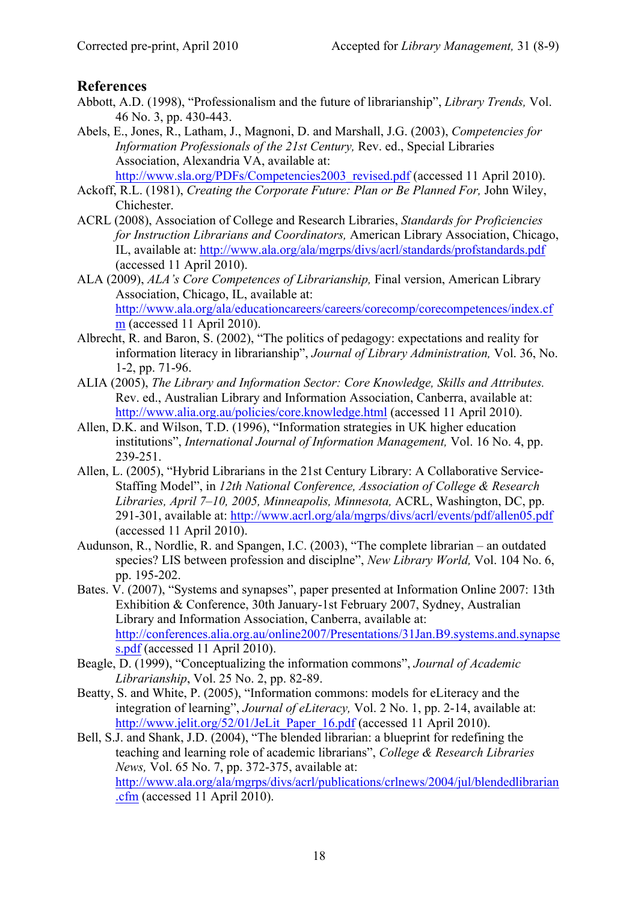### **References**

- Abbott, A.D. (1998), "Professionalism and the future of librarianship", *Library Trends,* Vol. 46 No. 3, pp. 430-443.
- Abels, E., Jones, R., Latham, J., Magnoni, D. and Marshall, J.G. (2003), *Competencies for Information Professionals of the 21st Century,* Rev. ed., Special Libraries Association, Alexandria VA, available at: http://www.sla.org/PDFs/Competencies2003 revised.pdf (accessed 11 April 2010).
- Ackoff, R.L. (1981), *Creating the Corporate Future: Plan or Be Planned For*, John Wiley, Chichester.
- ACRL (2008), Association of College and Research Libraries, *Standards for Proficiencies for Instruction Librarians and Coordinators,* American Library Association, Chicago, IL, available at: http://www.ala.org/ala/mgrps/divs/acrl/standards/profstandards.pdf (accessed 11 April 2010).
- ALA (2009), *ALA's Core Competences of Librarianship,* Final version, American Library Association, Chicago, IL, available at: http://www.ala.org/ala/educationcareers/careers/corecomp/corecompetences/index.cf m (accessed 11 April 2010).
- Albrecht, R. and Baron, S. (2002), "The politics of pedagogy: expectations and reality for information literacy in librarianship", *Journal of Library Administration,* Vol. 36, No. 1-2, pp. 71-96.
- ALIA (2005), *The Library and Information Sector: Core Knowledge, Skills and Attributes.*  Rev. ed., Australian Library and Information Association, Canberra, available at: http://www.alia.org.au/policies/core.knowledge.html (accessed 11 April 2010).
- Allen, D.K. and Wilson, T.D. (1996), "Information strategies in UK higher education institutions", *International Journal of Information Management,* Vol. 16 No. 4, pp. 239-251.
- Allen, L. (2005), "Hybrid Librarians in the 21st Century Library: A Collaborative Service-Staffing Model", in *12th National Conference, Association of College & Research Libraries, April 7–10, 2005, Minneapolis, Minnesota,* ACRL, Washington, DC, pp. 291-301, available at: http://www.acrl.org/ala/mgrps/divs/acrl/events/pdf/allen05.pdf (accessed 11 April 2010).
- Audunson, R., Nordlie, R. and Spangen, I.C. (2003), "The complete librarian an outdated species? LIS between profession and disciplne", *New Library World,* Vol. 104 No. 6, pp. 195-202.
- Bates. V. (2007), "Systems and synapses", paper presented at Information Online 2007: 13th Exhibition & Conference, 30th January-1st February 2007, Sydney, Australian Library and Information Association, Canberra, available at: http://conferences.alia.org.au/online2007/Presentations/31Jan.B9.systems.and.synapse s.pdf (accessed 11 April 2010).
- Beagle, D. (1999), "Conceptualizing the information commons", *Journal of Academic Librarianship*, Vol. 25 No. 2, pp. 82-89.
- Beatty, S. and White, P. (2005), "Information commons: models for eLiteracy and the integration of learning", *Journal of eLiteracy,* Vol. 2 No. 1, pp. 2-14, available at: http://www.jelit.org/52/01/JeLit\_Paper\_16.pdf (accessed 11 April 2010).
- Bell, S.J. and Shank, J.D. (2004), "The blended librarian: a blueprint for redefining the teaching and learning role of academic librarians", *College & Research Libraries News,* Vol. 65 No. 7, pp. 372-375, available at: http://www.ala.org/ala/mgrps/divs/acrl/publications/crlnews/2004/jul/blendedlibrarian .cfm (accessed 11 April 2010).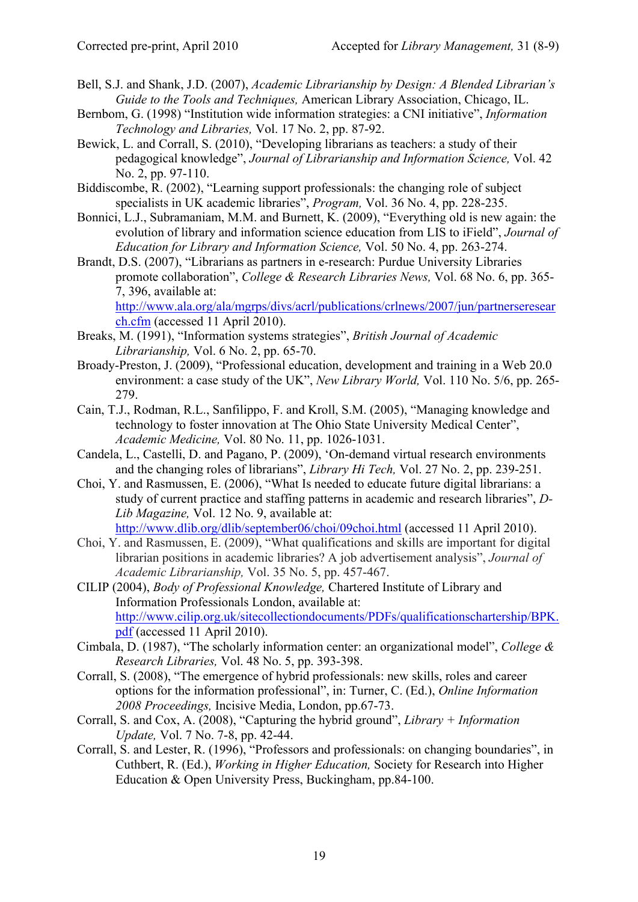- Bell, S.J. and Shank, J.D. (2007), *Academic Librarianship by Design: A Blended Librarian's Guide to the Tools and Techniques,* American Library Association, Chicago, IL.
- Bernbom, G. (1998) "Institution wide information strategies: a CNI initiative", *Information Technology and Libraries,* Vol. 17 No. 2, pp. 87-92.
- Bewick, L. and Corrall, S. (2010), "Developing librarians as teachers: a study of their pedagogical knowledge", *Journal of Librarianship and Information Science,* Vol. 42 No. 2, pp. 97-110.
- Biddiscombe, R. (2002), "Learning support professionals: the changing role of subject specialists in UK academic libraries", *Program,* Vol. 36 No. 4, pp. 228-235.
- Bonnici, L.J., Subramaniam, M.M. and Burnett, K. (2009), "Everything old is new again: the evolution of library and information science education from LIS to iField", *Journal of Education for Library and Information Science,* Vol. 50 No. 4, pp. 263-274.
- Brandt, D.S. (2007), "Librarians as partners in e-research: Purdue University Libraries promote collaboration", *College & Research Libraries News,* Vol. 68 No. 6, pp. 365- 7, 396, available at:

http://www.ala.org/ala/mgrps/divs/acrl/publications/crlnews/2007/jun/partnerseresear ch.cfm (accessed 11 April 2010).

- Breaks, M. (1991), "Information systems strategies", *British Journal of Academic Librarianship,* Vol. 6 No. 2, pp. 65-70.
- Broady-Preston, J. (2009), "Professional education, development and training in a Web 20.0 environment: a case study of the UK", *New Library World,* Vol. 110 No. 5/6, pp. 265- 279.
- Cain, T.J., Rodman, R.L., Sanfilippo, F. and Kroll, S.M. (2005), "Managing knowledge and technology to foster innovation at The Ohio State University Medical Center", *Academic Medicine,* Vol. 80 No. 11, pp. 1026-1031.
- Candela, L., Castelli, D. and Pagano, P. (2009), 'On-demand virtual research environments and the changing roles of librarians", *Library Hi Tech,* Vol. 27 No. 2, pp. 239-251.
- Choi, Y. and Rasmussen, E. (2006), "What Is needed to educate future digital librarians: a study of current practice and staffing patterns in academic and research libraries", *D-Lib Magazine,* Vol. 12 No. 9, available at: http://www.dlib.org/dlib/september06/choi/09choi.html (accessed 11 April 2010).
- Choi, Y. and Rasmussen, E. (2009), "What qualifications and skills are important for digital librarian positions in academic libraries? A job advertisement analysis", *Journal of Academic Librarianship,* Vol. 35 No. 5, pp. 457-467.
- CILIP (2004), *Body of Professional Knowledge,* Chartered Institute of Library and Information Professionals London, available at: http://www.cilip.org.uk/sitecollectiondocuments/PDFs/qualificationschartership/BPK. pdf (accessed 11 April 2010).
- Cimbala, D. (1987), "The scholarly information center: an organizational model", *College & Research Libraries,* Vol. 48 No. 5, pp. 393-398.
- Corrall, S. (2008), "The emergence of hybrid professionals: new skills, roles and career options for the information professional", in: Turner, C. (Ed.), *Online Information 2008 Proceedings,* Incisive Media, London, pp.67-73.
- Corrall, S. and Cox, A. (2008), "Capturing the hybrid ground", *Library + Information Update,* Vol. 7 No. 7-8, pp. 42-44.
- Corrall, S. and Lester, R. (1996), "Professors and professionals: on changing boundaries", in Cuthbert, R. (Ed.), *Working in Higher Education,* Society for Research into Higher Education & Open University Press, Buckingham, pp.84-100.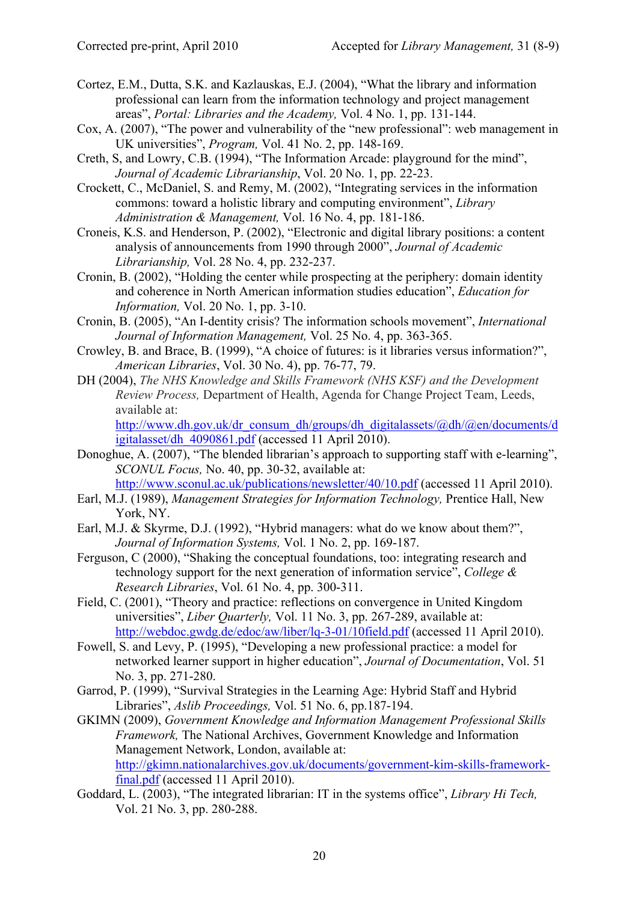- Cortez, E.M., Dutta, S.K. and Kazlauskas, E.J. (2004), "What the library and information professional can learn from the information technology and project management areas", *Portal: Libraries and the Academy,* Vol. 4 No. 1, pp. 131-144.
- Cox, A. (2007), "The power and vulnerability of the "new professional": web management in UK universities", *Program,* Vol. 41 No. 2, pp. 148-169.
- Creth, S, and Lowry, C.B. (1994), "The Information Arcade: playground for the mind", *Journal of Academic Librarianship*, Vol. 20 No. 1, pp. 22-23.
- Crockett, C., McDaniel, S. and Remy, M. (2002), "Integrating services in the information commons: toward a holistic library and computing environment", *Library Administration & Management,* Vol. 16 No. 4, pp. 181-186.
- Croneis, K.S. and Henderson, P. (2002), "Electronic and digital library positions: a content analysis of announcements from 1990 through 2000", *Journal of Academic Librarianship,* Vol. 28 No. 4, pp. 232-237.
- Cronin, B. (2002), "Holding the center while prospecting at the periphery: domain identity and coherence in North American information studies education", *Education for Information,* Vol. 20 No. 1, pp. 3-10.
- Cronin, B. (2005), "An I-dentity crisis? The information schools movement", *International Journal of Information Management,* Vol. 25 No. 4, pp. 363-365.
- Crowley, B. and Brace, B. (1999), "A choice of futures: is it libraries versus information?", *American Libraries*, Vol. 30 No. 4), pp. 76-77, 79.
- DH (2004), *The NHS Knowledge and Skills Framework (NHS KSF) and the Development Review Process,* Department of Health, Agenda for Change Project Team, Leeds, available at:

http://www.dh.gov.uk/dr\_consum\_dh/groups/dh\_digitalassets/@dh/@en/documents/d igitalasset/dh\_4090861.pdf (accessed 11 April 2010).

- Donoghue, A. (2007), "The blended librarian's approach to supporting staff with e-learning", *SCONUL Focus,* No. 40, pp. 30-32, available at: http://www.sconul.ac.uk/publications/newsletter/40/10.pdf (accessed 11 April 2010).
- Earl, M.J. (1989), *Management Strategies for Information Technology,* Prentice Hall, New York, NY.
- Earl, M.J. & Skyrme, D.J. (1992), "Hybrid managers: what do we know about them?", *Journal of Information Systems,* Vol. 1 No. 2, pp. 169-187.
- Ferguson, C (2000), "Shaking the conceptual foundations, too: integrating research and technology support for the next generation of information service", *College & Research Libraries*, Vol. 61 No. 4, pp. 300-311.
- Field, C. (2001), "Theory and practice: reflections on convergence in United Kingdom universities", *Liber Quarterly,* Vol. 11 No. 3, pp. 267-289, available at: http://webdoc.gwdg.de/edoc/aw/liber/lq-3-01/10field.pdf (accessed 11 April 2010).
- Fowell, S. and Levy, P. (1995), "Developing a new professional practice: a model for networked learner support in higher education", *Journal of Documentation*, Vol. 51 No. 3, pp. 271-280.
- Garrod, P. (1999), "Survival Strategies in the Learning Age: Hybrid Staff and Hybrid Libraries", *Aslib Proceedings,* Vol. 51 No. 6, pp.187-194.
- GKIMN (2009), *Government Knowledge and Information Management Professional Skills Framework,* The National Archives, Government Knowledge and Information Management Network, London, available at: http://gkimn.nationalarchives.gov.uk/documents/government-kim-skills-frameworkfinal.pdf (accessed 11 April 2010).
- Goddard, L. (2003), "The integrated librarian: IT in the systems office", *Library Hi Tech,*  Vol. 21 No. 3, pp. 280-288.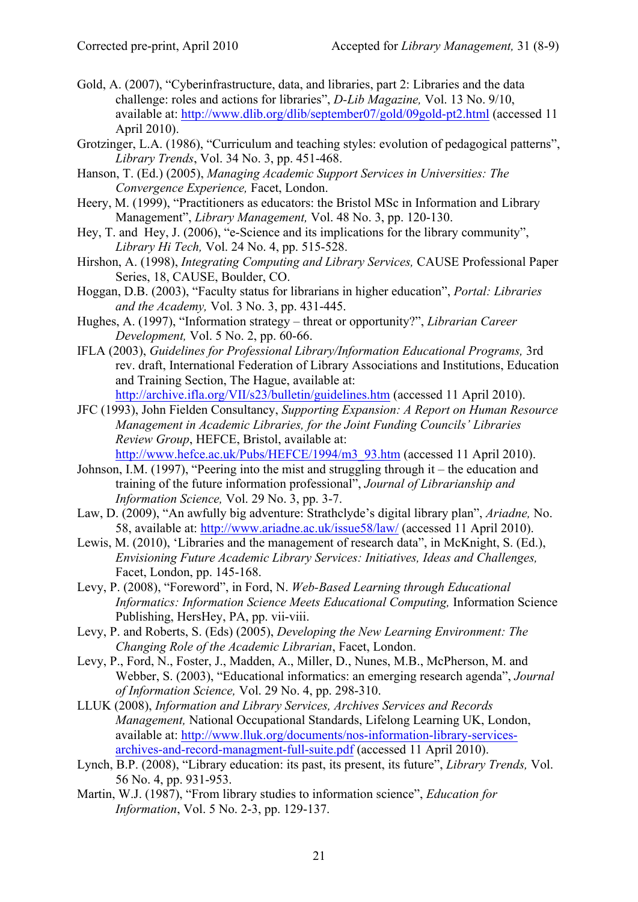- Gold, A. (2007), "Cyberinfrastructure, data, and libraries, part 2: Libraries and the data challenge: roles and actions for libraries", *D-Lib Magazine,* Vol. 13 No. 9/10, available at: http://www.dlib.org/dlib/september07/gold/09gold-pt2.html (accessed 11 April 2010).
- Grotzinger, L.A. (1986), "Curriculum and teaching styles: evolution of pedagogical patterns", *Library Trends*, Vol. 34 No. 3, pp. 451-468.
- Hanson, T. (Ed.) (2005), *Managing Academic Support Services in Universities: The Convergence Experience,* Facet, London.
- Heery, M. (1999), "Practitioners as educators: the Bristol MSc in Information and Library Management", *Library Management,* Vol. 48 No. 3, pp. 120-130.
- Hey, T. and Hey, J. (2006), "e-Science and its implications for the library community", *Library Hi Tech,* Vol. 24 No. 4, pp. 515-528.
- Hirshon, A. (1998), *Integrating Computing and Library Services,* CAUSE Professional Paper Series, 18, CAUSE, Boulder, CO.
- Hoggan, D.B. (2003), "Faculty status for librarians in higher education", *Portal: Libraries and the Academy,* Vol. 3 No. 3, pp. 431-445.
- Hughes, A. (1997), "Information strategy threat or opportunity?", *Librarian Career Development,* Vol. 5 No. 2, pp. 60-66.
- IFLA (2003), *Guidelines for Professional Library/Information Educational Programs,* 3rd rev. draft, International Federation of Library Associations and Institutions, Education and Training Section, The Hague, available at: http://archive.ifla.org/VII/s23/bulletin/guidelines.htm (accessed 11 April 2010).
- JFC (1993), John Fielden Consultancy, *Supporting Expansion: A Report on Human Resource Management in Academic Libraries, for the Joint Funding Councils' Libraries Review Group*, HEFCE, Bristol, available at: http://www.hefce.ac.uk/Pubs/HEFCE/1994/m3\_93.htm (accessed 11 April 2010).
- Johnson, I.M. (1997), "Peering into the mist and struggling through it the education and training of the future information professional", *Journal of Librarianship and Information Science,* Vol. 29 No. 3, pp. 3-7.
- Law, D. (2009), "An awfully big adventure: Strathclyde's digital library plan", *Ariadne,* No. 58, available at: http://www.ariadne.ac.uk/issue58/law/ (accessed 11 April 2010).
- Lewis, M. (2010), 'Libraries and the management of research data", in McKnight, S. (Ed.), *Envisioning Future Academic Library Services: Initiatives, Ideas and Challenges,* Facet, London, pp. 145-168.
- Levy, P. (2008), "Foreword", in Ford, N. *Web-Based Learning through Educational Informatics: Information Science Meets Educational Computing,* Information Science Publishing, HersHey, PA, pp. vii-viii.
- Levy, P. and Roberts, S. (Eds) (2005), *Developing the New Learning Environment: The Changing Role of the Academic Librarian*, Facet, London.
- Levy, P., Ford, N., Foster, J., Madden, A., Miller, D., Nunes, M.B., McPherson, M. and Webber, S. (2003), "Educational informatics: an emerging research agenda", *Journal of Information Science,* Vol. 29 No. 4, pp. 298-310.
- LLUK (2008), *Information and Library Services, Archives Services and Records Management,* National Occupational Standards, Lifelong Learning UK, London, available at: http://www.lluk.org/documents/nos-information-library-servicesarchives-and-record-managment-full-suite.pdf (accessed 11 April 2010).
- Lynch, B.P. (2008), "Library education: its past, its present, its future", *Library Trends,* Vol. 56 No. 4, pp. 931-953.
- Martin, W.J. (1987), "From library studies to information science", *Education for Information*, Vol. 5 No. 2-3, pp. 129-137.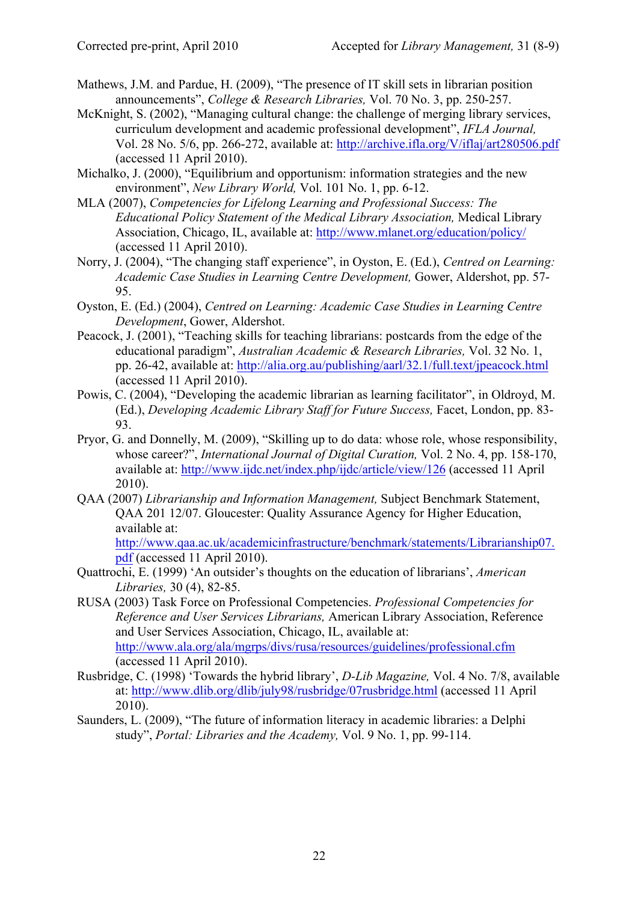- Mathews, J.M. and Pardue, H. (2009), "The presence of IT skill sets in librarian position announcements", *College & Research Libraries,* Vol. 70 No. 3, pp. 250-257.
- McKnight, S. (2002), "Managing cultural change: the challenge of merging library services, curriculum development and academic professional development", *IFLA Journal,*  Vol. 28 No. 5/6, pp. 266-272, available at: http://archive.ifla.org/V/iflaj/art280506.pdf (accessed 11 April 2010).
- Michalko, J. (2000), "Equilibrium and opportunism: information strategies and the new environment", *New Library World,* Vol. 101 No. 1, pp. 6-12.
- MLA (2007), *Competencies for Lifelong Learning and Professional Success: The Educational Policy Statement of the Medical Library Association,* Medical Library Association, Chicago, IL, available at: http://www.mlanet.org/education/policy/ (accessed 11 April 2010).
- Norry, J. (2004), "The changing staff experience", in Oyston, E. (Ed.), *Centred on Learning: Academic Case Studies in Learning Centre Development,* Gower, Aldershot, pp. 57- 95.
- Oyston, E. (Ed.) (2004), *Centred on Learning: Academic Case Studies in Learning Centre Development*, Gower, Aldershot.
- Peacock, J. (2001), "Teaching skills for teaching librarians: postcards from the edge of the educational paradigm", *Australian Academic & Research Libraries,* Vol. 32 No. 1, pp. 26-42, available at: http://alia.org.au/publishing/aarl/32.1/full.text/jpeacock.html (accessed 11 April 2010).
- Powis, C. (2004), "Developing the academic librarian as learning facilitator", in Oldroyd, M. (Ed.), *Developing Academic Library Staff for Future Success,* Facet, London, pp. 83- 93.
- Pryor, G. and Donnelly, M. (2009), "Skilling up to do data: whose role, whose responsibility, whose career?", *International Journal of Digital Curation,* Vol. 2 No. 4, pp. 158-170, available at: http://www.ijdc.net/index.php/ijdc/article/view/126 (accessed 11 April 2010).
- QAA (2007) *Librarianship and Information Management,* Subject Benchmark Statement, QAA 201 12/07. Gloucester: Quality Assurance Agency for Higher Education, available at:

http://www.qaa.ac.uk/academicinfrastructure/benchmark/statements/Librarianship07. pdf (accessed 11 April 2010).

- Quattrochi, E. (1999) 'An outsider's thoughts on the education of librarians', *American Libraries,* 30 (4), 82-85.
- RUSA (2003) Task Force on Professional Competencies. *Professional Competencies for Reference and User Services Librarians,* American Library Association, Reference and User Services Association, Chicago, IL, available at: http://www.ala.org/ala/mgrps/divs/rusa/resources/guidelines/professional.cfm (accessed 11 April 2010).
- Rusbridge, C. (1998) 'Towards the hybrid library', *D-Lib Magazine,* Vol. 4 No. 7/8, available at: http://www.dlib.org/dlib/july98/rusbridge/07rusbridge.html (accessed 11 April 2010).
- Saunders, L. (2009), "The future of information literacy in academic libraries: a Delphi study", *Portal: Libraries and the Academy,* Vol. 9 No. 1, pp. 99-114.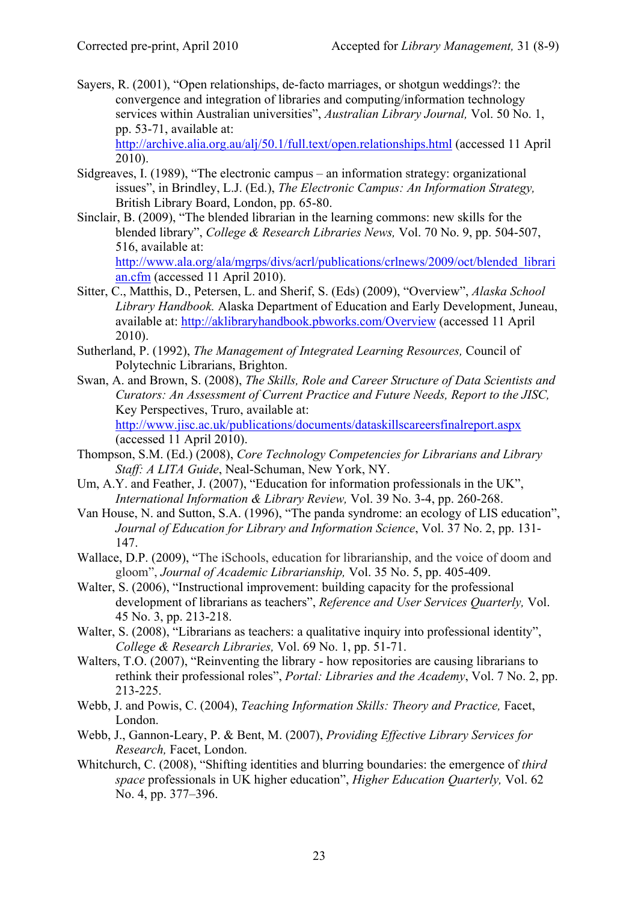Sayers, R. (2001), "Open relationships, de-facto marriages, or shotgun weddings?: the convergence and integration of libraries and computing/information technology services within Australian universities", *Australian Library Journal,* Vol. 50 No. 1, pp. 53-71, available at:

http://archive.alia.org.au/alj/50.1/full.text/open.relationships.html (accessed 11 April 2010).

- Sidgreaves, I. (1989), "The electronic campus an information strategy: organizational issues", in Brindley, L.J. (Ed.), *The Electronic Campus: An Information Strategy,* British Library Board, London, pp. 65-80.
- Sinclair, B. (2009), "The blended librarian in the learning commons: new skills for the blended library", *College & Research Libraries News,* Vol. 70 No. 9, pp. 504-507, 516, available at:

http://www.ala.org/ala/mgrps/divs/acrl/publications/crlnews/2009/oct/blended\_librari an.cfm (accessed 11 April 2010).

- Sitter, C., Matthis, D., Petersen, L. and Sherif, S. (Eds) (2009), "Overview", *Alaska School Library Handbook.* Alaska Department of Education and Early Development, Juneau, available at: http://aklibraryhandbook.pbworks.com/Overview (accessed 11 April 2010).
- Sutherland, P. (1992), *The Management of Integrated Learning Resources,* Council of Polytechnic Librarians, Brighton.
- Swan, A. and Brown, S. (2008), *The Skills, Role and Career Structure of Data Scientists and Curators: An Assessment of Current Practice and Future Needs, Report to the JISC,* Key Perspectives, Truro, available at: http://www.jisc.ac.uk/publications/documents/dataskillscareersfinalreport.aspx
- (accessed 11 April 2010). Thompson, S.M. (Ed.) (2008), *Core Technology Competencies for Librarians and Library Staff: A LITA Guide*, Neal-Schuman, New York, NY.
- Um, A.Y. and Feather, J. (2007), "Education for information professionals in the UK", *International Information & Library Review,* Vol. 39 No. 3-4, pp. 260-268.
- Van House, N. and Sutton, S.A. (1996), "The panda syndrome: an ecology of LIS education", *Journal of Education for Library and Information Science*, Vol. 37 No. 2, pp. 131- 147.
- Wallace, D.P. (2009), "The iSchools, education for librarianship, and the voice of doom and gloom", *Journal of Academic Librarianship,* Vol. 35 No. 5, pp. 405-409.
- Walter, S. (2006), "Instructional improvement: building capacity for the professional development of librarians as teachers", *Reference and User Services Quarterly,* Vol. 45 No. 3, pp. 213-218.
- Walter, S. (2008), "Librarians as teachers: a qualitative inquiry into professional identity", *College & Research Libraries,* Vol. 69 No. 1, pp. 51-71.
- Walters, T.O. (2007), "Reinventing the library how repositories are causing librarians to rethink their professional roles", *Portal: Libraries and the Academy*, Vol. 7 No. 2, pp. 213-225.
- Webb, J. and Powis, C. (2004), *Teaching Information Skills: Theory and Practice,* Facet, London.
- Webb, J., Gannon-Leary, P. & Bent, M. (2007), *Providing Effective Library Services for Research,* Facet, London.
- Whitchurch, C. (2008), "Shifting identities and blurring boundaries: the emergence of *third space* professionals in UK higher education", *Higher Education Quarterly,* Vol. 62 No. 4, pp. 377–396.